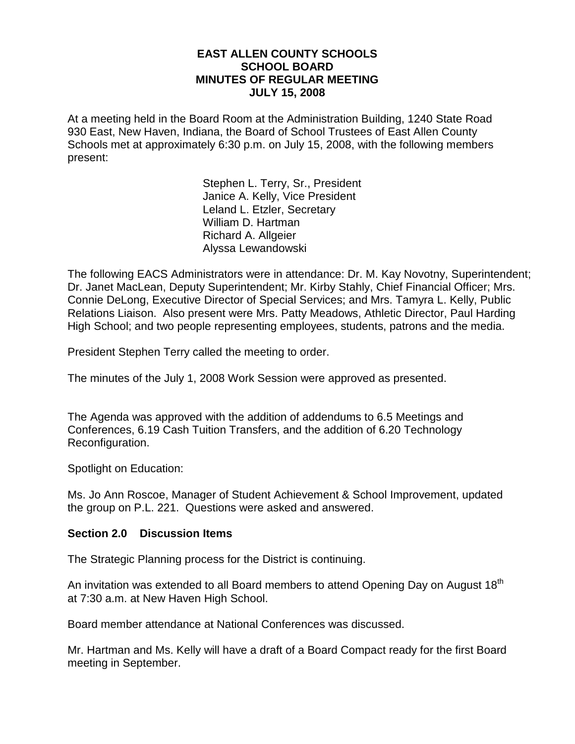#### **EAST ALLEN COUNTY SCHOOLS SCHOOL BOARD MINUTES OF REGULAR MEETING JULY 15, 2008**

At a meeting held in the Board Room at the Administration Building, 1240 State Road 930 East, New Haven, Indiana, the Board of School Trustees of East Allen County Schools met at approximately 6:30 p.m. on July 15, 2008, with the following members present:

> Stephen L. Terry, Sr., President Janice A. Kelly, Vice President Leland L. Etzler, Secretary William D. Hartman Richard A. Allgeier Alyssa Lewandowski

The following EACS Administrators were in attendance: Dr. M. Kay Novotny, Superintendent; Dr. Janet MacLean, Deputy Superintendent; Mr. Kirby Stahly, Chief Financial Officer; Mrs. Connie DeLong, Executive Director of Special Services; and Mrs. Tamyra L. Kelly, Public Relations Liaison. Also present were Mrs. Patty Meadows, Athletic Director, Paul Harding High School; and two people representing employees, students, patrons and the media.

President Stephen Terry called the meeting to order.

The minutes of the July 1, 2008 Work Session were approved as presented.

The Agenda was approved with the addition of addendums to 6.5 Meetings and Conferences, 6.19 Cash Tuition Transfers, and the addition of 6.20 Technology Reconfiguration.

Spotlight on Education:

Ms. Jo Ann Roscoe, Manager of Student Achievement & School Improvement, updated the group on P.L. 221. Questions were asked and answered.

#### **Section 2.0 Discussion Items**

The Strategic Planning process for the District is continuing.

An invitation was extended to all Board members to attend Opening Day on August 18<sup>th</sup> at 7:30 a.m. at New Haven High School.

Board member attendance at National Conferences was discussed.

Mr. Hartman and Ms. Kelly will have a draft of a Board Compact ready for the first Board meeting in September.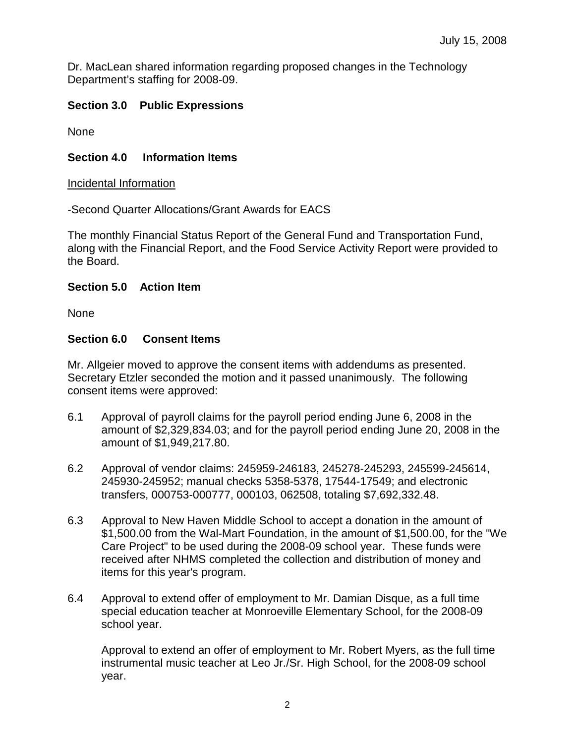Dr. MacLean shared information regarding proposed changes in the Technology Department's staffing for 2008-09.

# **Section 3.0 Public Expressions**

None

# **Section 4.0 Information Items**

#### Incidental Information

-Second Quarter Allocations/Grant Awards for EACS

The monthly Financial Status Report of the General Fund and Transportation Fund, along with the Financial Report, and the Food Service Activity Report were provided to the Board.

### **Section 5.0 Action Item**

None

### **Section 6.0 Consent Items**

Mr. Allgeier moved to approve the consent items with addendums as presented. Secretary Etzler seconded the motion and it passed unanimously. The following consent items were approved:

- 6.1 Approval of payroll claims for the payroll period ending June 6, 2008 in the amount of \$2,329,834.03; and for the payroll period ending June 20, 2008 in the amount of \$1,949,217.80.
- 6.2 Approval of vendor claims: 245959-246183, 245278-245293, 245599-245614, 245930-245952; manual checks 5358-5378, 17544-17549; and electronic transfers, 000753-000777, 000103, 062508, totaling \$7,692,332.48.
- 6.3 Approval to New Haven Middle School to accept a donation in the amount of \$1,500.00 from the Wal-Mart Foundation, in the amount of \$1,500.00, for the "We Care Project" to be used during the 2008-09 school year. These funds were received after NHMS completed the collection and distribution of money and items for this year's program.
- 6.4 Approval to extend offer of employment to Mr. Damian Disque, as a full time special education teacher at Monroeville Elementary School, for the 2008-09 school year.

Approval to extend an offer of employment to Mr. Robert Myers, as the full time instrumental music teacher at Leo Jr./Sr. High School, for the 2008-09 school year.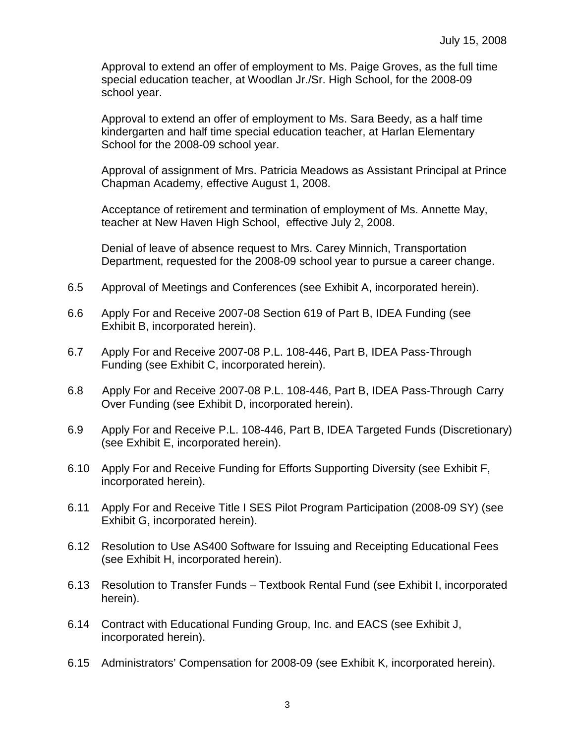Approval to extend an offer of employment to Ms. Paige Groves, as the full time special education teacher, at Woodlan Jr./Sr. High School, for the 2008-09 school year.

Approval to extend an offer of employment to Ms. Sara Beedy, as a half time kindergarten and half time special education teacher, at Harlan Elementary School for the 2008-09 school year.

Approval of assignment of Mrs. Patricia Meadows as Assistant Principal at Prince Chapman Academy, effective August 1, 2008.

 Acceptance of retirement and termination of employment of Ms. Annette May, teacher at New Haven High School, effective July 2, 2008.

Denial of leave of absence request to Mrs. Carey Minnich, Transportation Department, requested for the 2008-09 school year to pursue a career change.

- 6.5 Approval of Meetings and Conferences (see Exhibit A, incorporated herein).
- 6.6 Apply For and Receive 2007-08 Section 619 of Part B, IDEA Funding (see Exhibit B, incorporated herein).
- 6.7 Apply For and Receive 2007-08 P.L. 108-446, Part B, IDEA Pass-Through Funding (see Exhibit C, incorporated herein).
- 6.8 Apply For and Receive 2007-08 P.L. 108-446, Part B, IDEA Pass-Through Carry Over Funding (see Exhibit D, incorporated herein).
- 6.9 Apply For and Receive P.L. 108-446, Part B, IDEA Targeted Funds (Discretionary) (see Exhibit E, incorporated herein).
- 6.10 Apply For and Receive Funding for Efforts Supporting Diversity (see Exhibit F, incorporated herein).
- 6.11 Apply For and Receive Title I SES Pilot Program Participation (2008-09 SY) (see Exhibit G, incorporated herein).
- 6.12 Resolution to Use AS400 Software for Issuing and Receipting Educational Fees (see Exhibit H, incorporated herein).
- 6.13 Resolution to Transfer Funds Textbook Rental Fund (see Exhibit I, incorporated herein).
- 6.14 Contract with Educational Funding Group, Inc. and EACS (see Exhibit J, incorporated herein).
- 6.15 Administrators' Compensation for 2008-09 (see Exhibit K, incorporated herein).